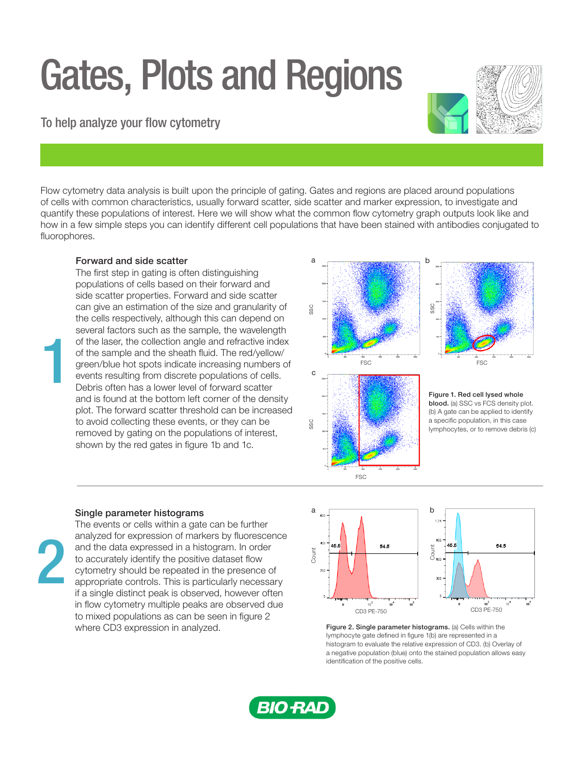# Gates, Plots and Regions

## To help analyze your flow cytometry

Flow cytometry data analysis is built upon the principle of gating. Gates and regions are placed around populations of cells with common characteristics, usually forward scatter, side scatter and marker expression, to investigate and quantify these populations of interest. Here we will show what the common flow cytometry graph outputs look like and how in a few simple steps you can identify different cell populations that have been stained with antibodies conjugated to fluorophores.

### Forward and side scatter

The first step in gating is often distinguishing populations of cells based on their forward and side scatter properties. Forward and side scatter can give an estimation of the size and granularity of the cells respectively, although this can depend on several factors such as the sample, the wavelength of the laser, the collection angle and refractive index of the sample and the sheath fluid. The red/yellow/ green/blue hot spots indicate increasing numbers of events resulting from discrete populations of cells. Debris often has a lower level of forward scatter and is found at the bottom left corner of the density plot. The forward scatter threshold can be increased to avoid collecting these events, or they can be removed by gating on the populations of interest, shown by the red gates in figure 1b and 1c.



### Single parameter histograms

2

1

The events or cells within a gate can be further analyzed for expression of markers by fluorescence and the data expressed in a histogram. In order to accurately identify the positive dataset flow cytometry should be repeated in the presence of appropriate controls. This is particularly necessary if a single distinct peak is observed, however often in flow cytometry multiple peaks are observed due to mixed populations as can be seen in figure 2 where CD3 expression in analyzed.



Figure 2. Single parameter histograms. (a) Cells within the lymphocyte gate defined in figure 1(b) are represented in a histogram to evaluate the relative expression of CD3. (b) Overlay of a negative population (blue) onto the stained population allows easy identification of the positive cells.